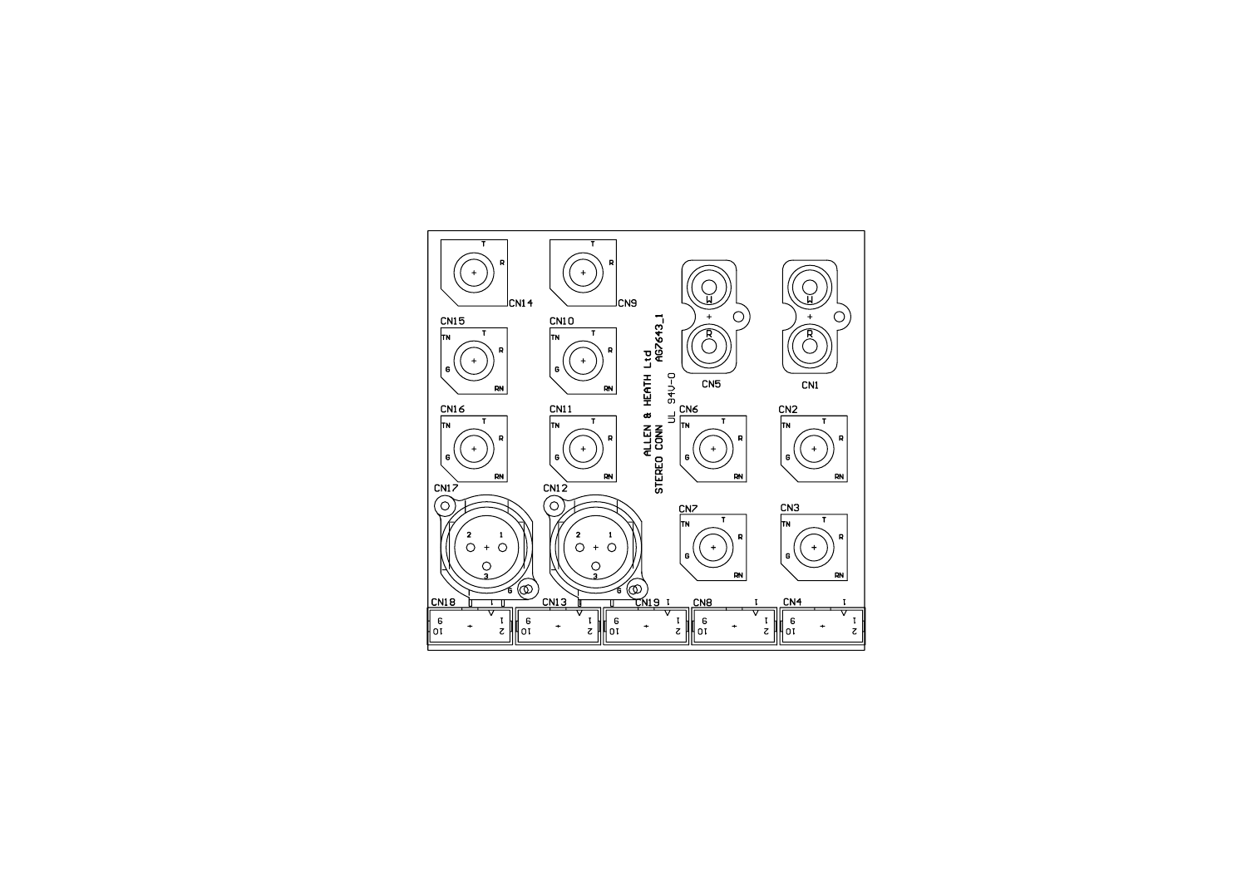